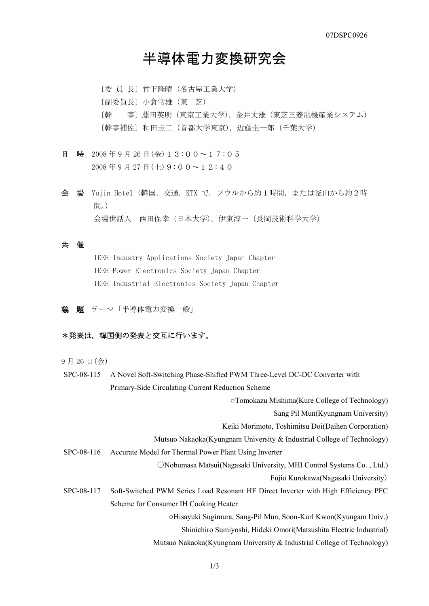# 半導体電力変換研究会

〔委 員 長〕竹下隆晴(名古屋工業大学) 〔副委員長〕小倉常雄(東 芝) 〔幹 事〕藤田英明(東京工業大学),金井丈雄(東芝三菱電機産業システム) 〔幹事補佐〕和田圭二(首都大学東京),近藤圭一郎(千葉大学)

- 日 時 2008年9月26日(金)13:00~17:05  $2008 \n\mathop{\mathrm{4}}\nolimits$  9 月 27 日(十) 9:00~12:40
- 会 場 Yujin Hotel(韓国,交通,KTX で,ソウルから約1時間,または釜山から約2時 間。) 会場世話人 西田保幸(日本大学),伊東淳一(長岡技術科学大学)

### 共 催

IEEE Industry Applications Society Japan Chapter IEEE Power Electronics Society Japan Chapter IEEE Industrial Electronics Society Japan Chapter

議 題 テーマ「半導体電力変換一般」

### \*発表は、韓国側の発表と交互に行います。

9 月 26 日(金)

- SPC-08-115 A Novel Soft-Switching Phase-Shifted PWM Three-Level DC-DC Converter with Primary-Side Circulating Current Reduction Scheme
	- ○Tomokazu Mishima(Kure College of Technology)

Sang Pil Mun(Kyungnam University)

Keiki Morimoto, Toshimitsu Doi(Daihen Corporation)

- Mutsuo Nakaoka(Kyungnam University & Industrial College of Technology)
- SPC-08-116 Accurate Model for Thermal Power Plant Using Inverter

○Nobumasa Matsui(Nagasaki University, MHI Control Systems Co. , Ltd.)

Fujio Kurokawa(Nagasaki University)

SPC-08-117 Soft-Switched PWM Series Load Resonant HF Direct Inverter with High Efficiency PFC Scheme for Consumer IH Cooking Heater

○Hisayuki Sugimura, Sang-Pil Mun, Soon-Kurl Kwon(Kyungam Univ.)

- Shinichiro Sumiyoshi, Hideki Omori(Matsushita Electric Industrial)
- Mutsuo Nakaoka(Kyungnam University & Industrial College of Technology)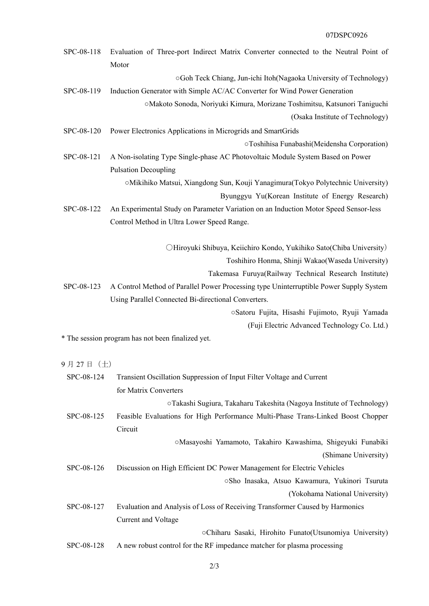## 07DSPC0926

| SPC-08-118 | Evaluation of Three-port Indirect Matrix Converter connected to the Neutral Point of<br>Motor |
|------------|-----------------------------------------------------------------------------------------------|
|            | ○Goh Teck Chiang, Jun-ichi Itoh(Nagaoka University of Technology)                             |
| SPC-08-119 | Induction Generator with Simple AC/AC Converter for Wind Power Generation                     |
|            | ○Makoto Sonoda, Noriyuki Kimura, Morizane Toshimitsu, Katsunori Taniguchi                     |
|            | (Osaka Institute of Technology)                                                               |
| SPC-08-120 | Power Electronics Applications in Microgrids and SmartGrids                                   |
|            | OToshihisa Funabashi(Meidensha Corporation)                                                   |
| SPC-08-121 | A Non-isolating Type Single-phase AC Photovoltaic Module System Based on Power                |
|            | <b>Pulsation Decoupling</b>                                                                   |
|            | ○Mikihiko Matsui, Xiangdong Sun, Kouji Yanagimura(Tokyo Polytechnic University)               |
|            | Byunggyu Yu(Korean Institute of Energy Research)                                              |
| SPC-08-122 | An Experimental Study on Parameter Variation on an Induction Motor Speed Sensor-less          |
|            | Control Method in Ultra Lower Speed Range.                                                    |
|            | OHiroyuki Shibuya, Keiichiro Kondo, Yukihiko Sato(Chiba University)                           |
|            | Toshihiro Honma, Shinji Wakao(Waseda University)                                              |
|            | Takemasa Furuya(Railway Technical Research Institute)                                         |
| SPC-08-123 | A Control Method of Parallel Power Processing type Uninterruptible Power Supply System        |
|            | Using Parallel Connected Bi-directional Converters.                                           |
|            | Satoru Fujita, Hisashi Fujimoto, Ryuji Yamada                                                 |
|            | (Fuji Electric Advanced Technology Co. Ltd.)                                                  |
|            | * The session program has not been finalized yet.                                             |
| 9月27日 (土)  |                                                                                               |
| SPC-08-124 | Transient Oscillation Suppression of Input Filter Voltage and Current                         |
|            | for Matrix Converters                                                                         |
|            | oTakashi Sugiura, Takaharu Takeshita (Nagoya Institute of Technology)                         |
| SPC-08-125 | Feasible Evaluations for High Performance Multi-Phase Trans-Linked Boost Chopper<br>Circuit   |
|            | OMasayoshi Yamamoto, Takahiro Kawashima, Shigeyuki Funabiki                                   |
|            | (Shimane University)                                                                          |
| SPC-08-126 | Discussion on High Efficient DC Power Management for Electric Vehicles                        |
|            | ○Sho Inasaka, Atsuo Kawamura, Yukinori Tsuruta                                                |
|            | (Yokohama National University)                                                                |
| SPC-08-127 | Evaluation and Analysis of Loss of Receiving Transformer Caused by Harmonics                  |
|            | Current and Voltage                                                                           |
|            | oChiharu Sasaki, Hirohito Funato(Utsunomiya University)                                       |
| SPC-08-128 | A new robust control for the RF impedance matcher for plasma processing                       |